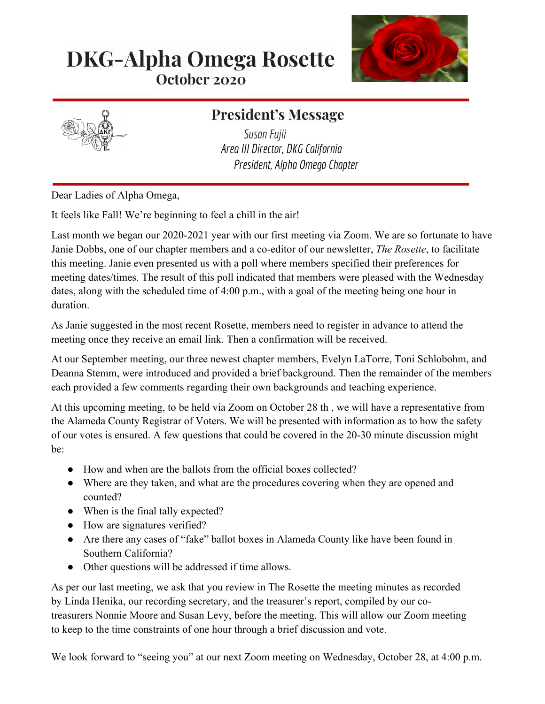# **DKG-Alpha Omega Rosette October 2020**





## **President's Message**

*SusanFujii Area III Director, DKG California President, Alpha Omega Chapter*

Dear Ladies of Alpha Omega,

It feels like Fall! We're beginning to feel a chill in the air!

Last month we began our 2020-2021 year with our first meeting via Zoom. We are so fortunate to have Janie Dobbs, one of our chapter members and a co-editor of our newsletter, *The Rosette*, to facilitate this meeting. Janie even presented us with a poll where members specified their preferences for meeting dates/times. The result of this poll indicated that members were pleased with the Wednesday dates, along with the scheduled time of 4:00 p.m., with a goal of the meeting being one hour in duration.

As Janie suggested in the most recent Rosette, members need to register in advance to attend the meeting once they receive an email link. Then a confirmation will be received.

At our September meeting, our three newest chapter members, Evelyn LaTorre, Toni Schlobohm, and Deanna Stemm, were introduced and provided a brief background. Then the remainder of the members each provided a few comments regarding their own backgrounds and teaching experience.

At this upcoming meeting, to be held via Zoom on October 28 th , we will have a representative from the Alameda County Registrar of Voters. We will be presented with information as to how the safety of our votes is ensured. A few questions that could be covered in the 20-30 minute discussion might be:

- How and when are the ballots from the official boxes collected?
- Where are they taken, and what are the procedures covering when they are opened and counted?
- When is the final tally expected?
- How are signatures verified?
- Are there any cases of "fake" ballot boxes in Alameda County like have been found in Southern California?
- Other questions will be addressed if time allows.

As per our last meeting, we ask that you review in The Rosette the meeting minutes as recorded by Linda Henika, our recording secretary, and the treasurer's report, compiled by our cotreasurers Nonnie Moore and Susan Levy, before the meeting. This will allow our Zoom meeting to keep to the time constraints of one hour through a brief discussion and vote.

We look forward to "seeing you" at our next Zoom meeting on Wednesday, October 28, at 4:00 p.m.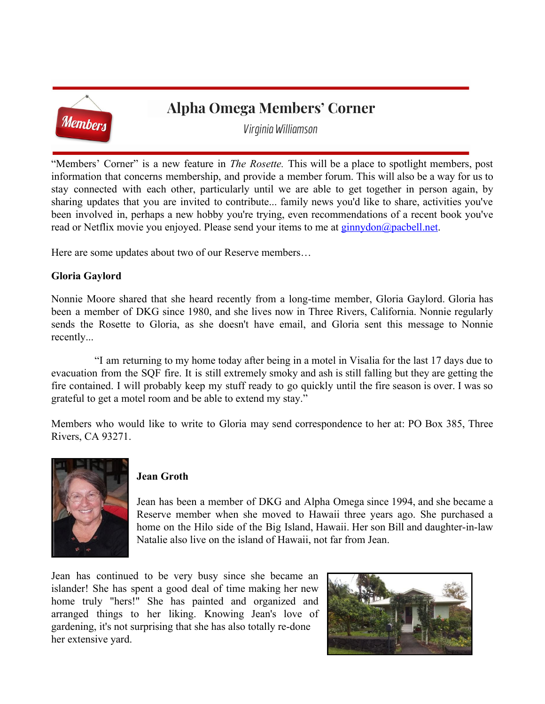

## **Alpha Omega Members' Corner**

*Virginia Williamson*

"Members' Corner" is a new feature in *The Rosette.* This will be a place to spotlight members, post information that concerns membership, and provide a member forum. This will also be a way for us to stay connected with each other, particularly until we are able to get together in person again, by sharing updates that you are invited to contribute... family news you'd like to share, activities you've been involved in, perhaps a new hobby you're trying, even recommendations of a recent book you've read or Netflix movie you enjoyed. Please send your items to me at  $g_{\text{innydon}}(a)$  pacbell.net.

Here are some updates about two of our Reserve members…

#### **Gloria Gaylord**

Nonnie Moore shared that she heard recently from a long-time member, Gloria Gaylord. Gloria has been a member of DKG since 1980, and she lives now in Three Rivers, California. Nonnie regularly sends the Rosette to Gloria, as she doesn't have email, and Gloria sent this message to Nonnie recently...

 "I am returning to my home today after being in a motel in Visalia for the last 17 days due to evacuation from the SQF fire. It is still extremely smoky and ash is still falling but they are getting the fire contained. I will probably keep my stuff ready to go quickly until the fire season is over. I was so grateful to get a motel room and be able to extend my stay."

Members who would like to write to Gloria may send correspondence to her at: PO Box 385, Three Rivers, CA 93271.



#### **Jean Groth**

Jean has been a member of DKG and Alpha Omega since 1994, and she became a Reserve member when she moved to Hawaii three years ago. She purchased a home on the Hilo side of the Big Island, Hawaii. Her son Bill and daughter-in-law Natalie also live on the island of Hawaii, not far from Jean.

Jean has continued to be very busy since she became an islander! She has spent a good deal of time making her new home truly "hers!" She has painted and organized and arranged things to her liking. Knowing Jean's love of gardening, it's not surprising that she has also totally re-done her extensive yard.

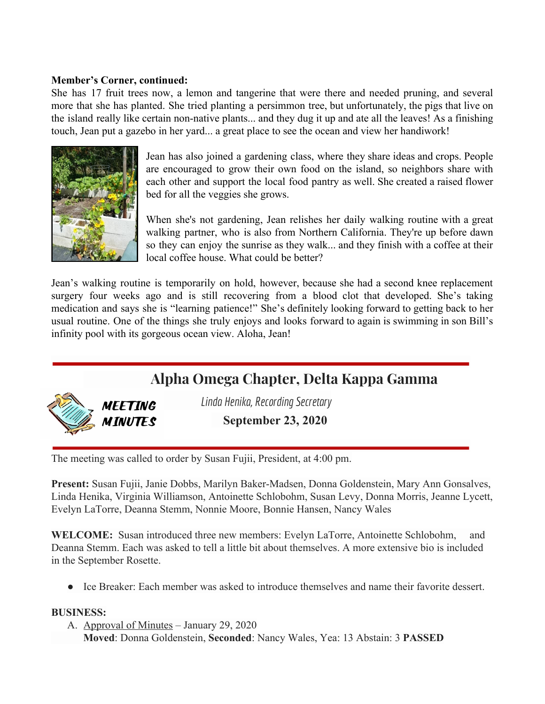#### **Member's Corner, continued:**

She has 17 fruit trees now, a lemon and tangerine that were there and needed pruning, and several more that she has planted. She tried planting a persimmon tree, but unfortunately, the pigs that live on the island really like certain non-native plants... and they dug it up and ate all the leaves! As a finishing touch, Jean put a gazebo in her yard... a great place to see the ocean and view her handiwork!



Jean has also joined a gardening class, where they share ideas and crops. People are encouraged to grow their own food on the island, so neighbors share with each other and support the local food pantry as well. She created a raised flower bed for all the veggies she grows.

When she's not gardening, Jean relishes her daily walking routine with a great walking partner, who is also from Northern California. They're up before dawn so they can enjoy the sunrise as they walk... and they finish with a coffee at their local coffee house. What could be better?

Jean's walking routine is temporarily on hold, however, because she had a second knee replacement surgery four weeks ago and is still recovering from a blood clot that developed. She's taking medication and says she is "learning patience!" She's definitely looking forward to getting back to her usual routine. One of the things she truly enjoys and looks forward to again is swimming in son Bill's infinity pool with its gorgeous ocean view. Aloha, Jean!

## **Alpha Omega Chapter, Delta Kappa Gamma**



*Linda Henika, RecordingSecretary*

**September 23, 2020**

The meeting was called to order by Susan Fujii, President, at 4:00 pm.

**Present:** Susan Fujii, Janie Dobbs, Marilyn Baker-Madsen, Donna Goldenstein, Mary Ann Gonsalves, Linda Henika, Virginia Williamson, Antoinette Schlobohm, Susan Levy, Donna Morris, Jeanne Lycett, Evelyn LaTorre, Deanna Stemm, Nonnie Moore, Bonnie Hansen, Nancy Wales

**WELCOME:** Susan introduced three new members: Evelyn LaTorre, Antoinette Schlobohm, and Deanna Stemm. Each was asked to tell a little bit about themselves. A more extensive bio is included in the September Rosette.

● Ice Breaker: Each member was asked to introduce themselves and name their favorite dessert.

#### **BUSINESS:**

A. Approval of Minutes – January 29, 2020  **Moved**: Donna Goldenstein, **Seconded**: Nancy Wales, Yea: 13 Abstain: 3 **PASSED**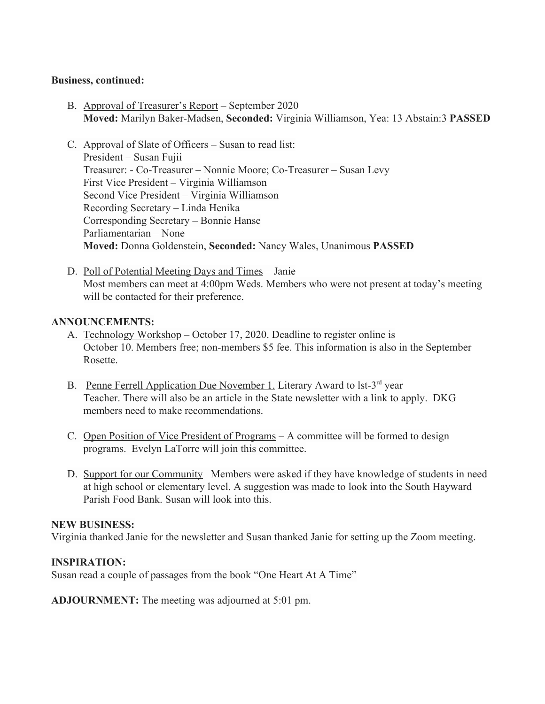#### **Business, continued:**

- B. Approval of Treasurer's Report September 2020 **Moved:** Marilyn Baker-Madsen, **Seconded:** Virginia Williamson, Yea: 13 Abstain:3 **PASSED**
- C. Approval of Slate of Officers Susan to read list: President – Susan Fujii Treasurer: - Co-Treasurer – Nonnie Moore; Co-Treasurer – Susan Levy First Vice President – Virginia Williamson Second Vice President – Virginia Williamson Recording Secretary – Linda Henika Corresponding Secretary – Bonnie Hanse Parliamentarian – None **Moved:** Donna Goldenstein, **Seconded:** Nancy Wales, Unanimous **PASSED**
- D. Poll of Potential Meeting Days and Times Janie Most members can meet at 4:00pm Weds. Members who were not present at today's meeting will be contacted for their preference.

#### **ANNOUNCEMENTS:**

- A. Technology Workshop October 17, 2020. Deadline to register online is October 10. Members free; non-members \$5 fee. This information is also in the September Rosette.
- B. Penne Ferrell Application Due November 1. Literary Award to lst-3<sup>rd</sup> year Teacher. There will also be an article in the State newsletter with a link to apply. DKG members need to make recommendations.
- C. Open Position of Vice President of Programs A committee will be formed to design programs. Evelyn LaTorre will join this committee.
- D. Support for our Community Members were asked if they have knowledge of students in need at high school or elementary level. A suggestion was made to look into the South Hayward Parish Food Bank. Susan will look into this.

#### **NEW BUSINESS:**

Virginia thanked Janie for the newsletter and Susan thanked Janie for setting up the Zoom meeting.

#### **INSPIRATION:**

Susan read a couple of passages from the book "One Heart At A Time"

**ADJOURNMENT:** The meeting was adjourned at 5:01 pm.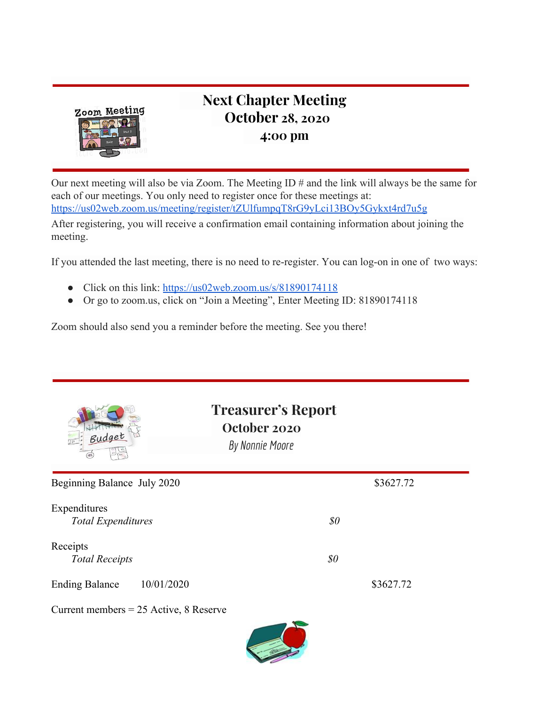

## **Next Chapter Meeting October 28, 2020 4:00 pm**

Our next meeting will also be via Zoom. The Meeting ID # and the link will always be the same for each of our meetings. You only need to register once for these meetings at: <https://us02web.zoom.us/meeting/register/tZUlfumpqT8rG9yLci13BOy5Gykxt4rd7u5g>

After registering, you will receive a confirmation email containing information about joining the meeting.

If you attended the last meeting, there is no need to re-register. You can log-on in one of two ways:

- Click on this link: <https://us02web.zoom.us/s/81890174118>
- Or go to zoom.us, click on "Join a Meeting", Enter Meeting ID: 81890174118

Zoom should also send you a reminder before the meeting. See you there!

| Budget                                    | <b>Treasurer's Report</b><br>October 2020<br>By Nonnie Moore |           |
|-------------------------------------------|--------------------------------------------------------------|-----------|
| Beginning Balance July 2020               |                                                              | \$3627.72 |
| Expenditures<br><b>Total Expenditures</b> | $\$0$                                                        |           |
| Receipts<br><b>Total Receipts</b>         | $\$0$                                                        |           |
| 10/01/2020<br><b>Ending Balance</b>       |                                                              | \$3627.72 |
| Current members = $25$ Active, 8 Reserve  |                                                              |           |

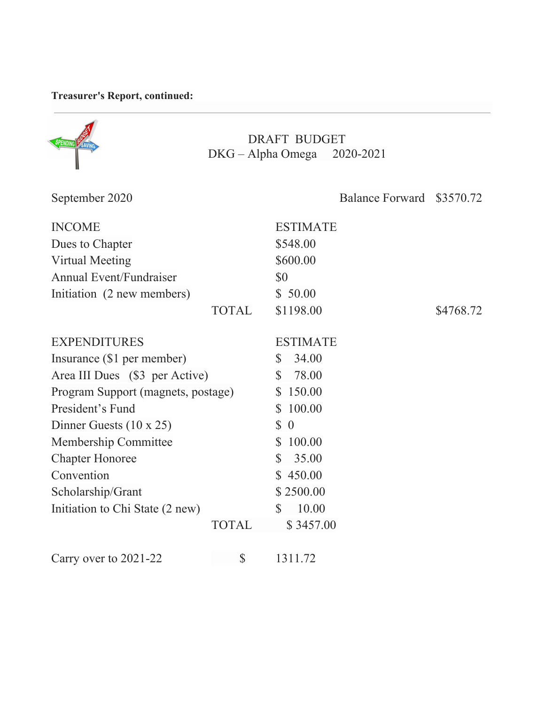### **Treasurer's Report, continued:**

| <b>DRAFT BUDGET</b><br>DKG - Alpha Omega 2020-2021 |              |                          |                        |           |
|----------------------------------------------------|--------------|--------------------------|------------------------|-----------|
| September 2020                                     |              |                          | <b>Balance Forward</b> | \$3570.72 |
| <b>INCOME</b>                                      |              | <b>ESTIMATE</b>          |                        |           |
| Dues to Chapter                                    |              | \$548.00                 |                        |           |
| <b>Virtual Meeting</b>                             |              | \$600.00                 |                        |           |
| <b>Annual Event/Fundraiser</b>                     |              | \$0                      |                        |           |
| Initiation (2 new members)                         |              | \$50.00                  |                        |           |
|                                                    | <b>TOTAL</b> | \$1198.00                |                        | \$4768.72 |
| <b>EXPENDITURES</b>                                |              | <b>ESTIMATE</b>          |                        |           |
| Insurance (\$1 per member)                         |              | 34.00<br>\$              |                        |           |
| Area III Dues (\$3 per Active)                     |              | 78.00<br>$\mathbb{S}$    |                        |           |
| Program Support (magnets, postage)                 |              | 150.00<br>$\mathbb{S}$   |                        |           |
| President's Fund                                   |              | 100.00<br>S              |                        |           |
| Dinner Guests $(10 \times 25)$                     |              | $\mathbb{S}$<br>$\theta$ |                        |           |
| Membership Committee                               |              | $\mathbb{S}$<br>100.00   |                        |           |
| <b>Chapter Honoree</b>                             |              | 35.00<br>S.              |                        |           |
| Convention                                         |              | \$450.00                 |                        |           |
| Scholarship/Grant                                  |              | \$2500.00                |                        |           |
| Initiation to Chi State (2 new)                    |              | 10.00<br>S               |                        |           |
|                                                    | <b>TOTAL</b> | \$3457.00                |                        |           |
| Carry over to 2021-22                              | \$           | 1311.72                  |                        |           |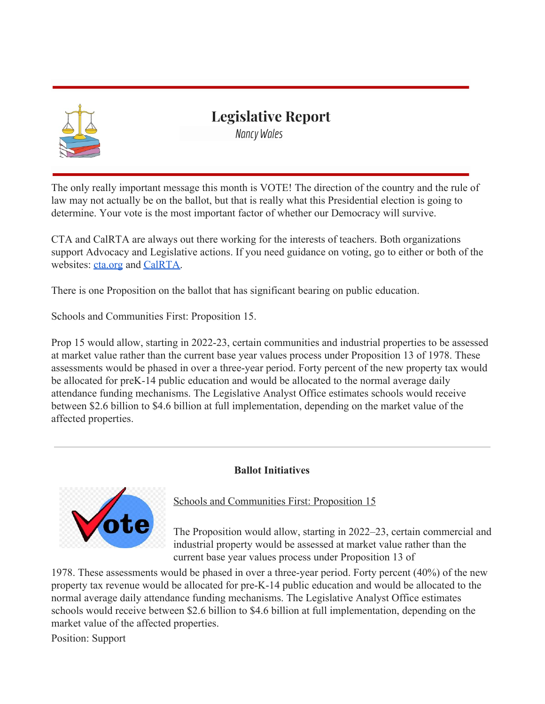

### **Legislative Report**

*Nancy Wales*

The only really important message this month is VOTE! The direction of the country and the rule of law may not actually be on the ballot, but that is really what this Presidential election is going to determine. Your vote is the most important factor of whether our Democracy will survive.

CTA and CalRTA are always out there working for the interests of teachers. Both organizations support Advocacy and Legislative actions. If you need guidance on voting, go to either or both of the websites[:](https://www.cta.org/) [cta.org](https://www.cta.org/) an[d](https://calrta.org/) [CalRTA](https://calrta.org/).

There is one Proposition on the ballot that has significant bearing on public education.

Schools and Communities First: Proposition 15.

Prop 15 would allow, starting in 2022-23, certain communities and industrial properties to be assessed at market value rather than the current base year values process under Proposition 13 of 1978. These assessments would be phased in over a three-year period. Forty percent of the new property tax would be allocated for preK-14 public education and would be allocated to the normal average daily attendance funding mechanisms. The Legislative Analyst Office estimates schools would receive between \$2.6 billion to \$4.6 billion at full implementation, depending on the market value of the affected properties.

#### **Ballot Initiatives**



Schools and Communities First: Proposition 15

The Proposition would allow, starting in 2022–23, certain commercial and industrial property would be assessed at market value rather than the current base year values process under Proposition 13 of

1978. These assessments would be phased in over a three-year period. Forty percent (40%) of the new property tax revenue would be allocated for pre-K-14 public education and would be allocated to the normal average daily attendance funding mechanisms. The Legislative Analyst Office estimates schools would receive between \$2.6 billion to \$4.6 billion at full implementation, depending on the market value of the affected properties.

Position: Support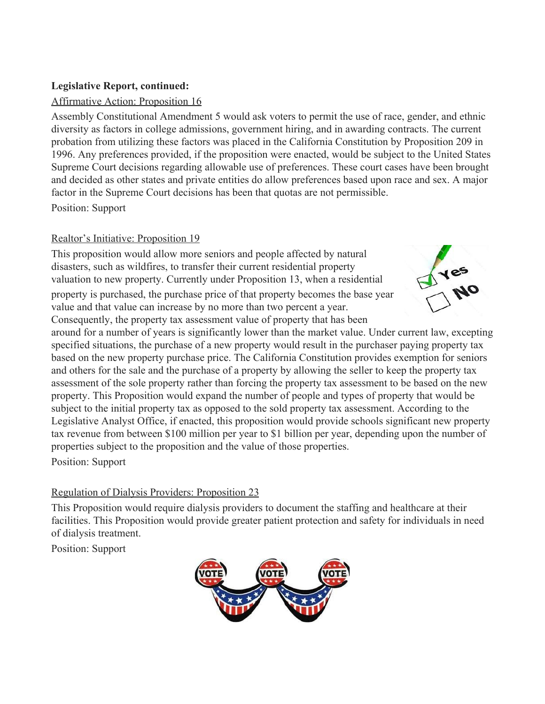#### **Legislative Report, continued:**

#### Affirmative Action: Proposition 16

Assembly Constitutional Amendment 5 would ask voters to permit the use of race, gender, and ethnic diversity as factors in college admissions, government hiring, and in awarding contracts. The current probation from utilizing these factors was placed in the California Constitution by Proposition 209 in 1996. Any preferences provided, if the proposition were enacted, would be subject to the United States Supreme Court decisions regarding allowable use of preferences. These court cases have been brought and decided as other states and private entities do allow preferences based upon race and sex. A major factor in the Supreme Court decisions has been that quotas are not permissible. Position: Support

#### Realtor's Initiative: Proposition 19

This proposition would allow more seniors and people affected by natural disasters, such as wildfires, to transfer their current residential property valuation to new property. Currently under Proposition 13, when a residential property is purchased, the purchase price of that property becomes the base year value and that value can increase by no more than two percent a year. Consequently, the property tax assessment value of property that has been



around for a number of years is significantly lower than the market value. Under current law, excepting specified situations, the purchase of a new property would result in the purchaser paying property tax based on the new property purchase price. The California Constitution provides exemption for seniors and others for the sale and the purchase of a property by allowing the seller to keep the property tax assessment of the sole property rather than forcing the property tax assessment to be based on the new property. This Proposition would expand the number of people and types of property that would be subject to the initial property tax as opposed to the sold property tax assessment. According to the Legislative Analyst Office, if enacted, this proposition would provide schools significant new property tax revenue from between \$100 million per year to \$1 billion per year, depending upon the number of properties subject to the proposition and the value of those properties.

Position: Support

#### Regulation of Dialysis Providers: Proposition 23

This Proposition would require dialysis providers to document the staffing and healthcare at their facilities. This Proposition would provide greater patient protection and safety for individuals in need of dialysis treatment.

Position: Support

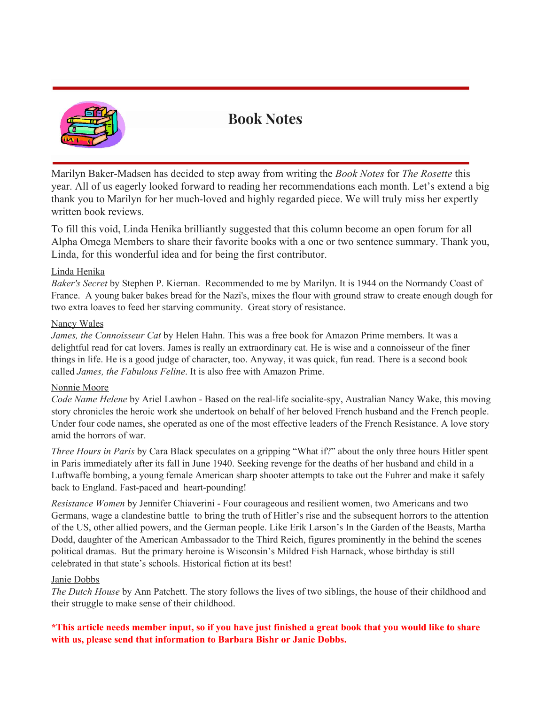

## **Book Notes**

Marilyn Baker-Madsen has decided to step away from writing the *Book Notes* for *The Rosette* this year. All of us eagerly looked forward to reading her recommendations each month. Let's extend a big thank you to Marilyn for her much-loved and highly regarded piece. We will truly miss her expertly written book reviews.

To fill this void, Linda Henika brilliantly suggested that this column become an open forum for all Alpha Omega Members to share their favorite books with a one or two sentence summary. Thank you, Linda, for this wonderful idea and for being the first contributor.

#### Linda Henika

*Baker's Secret* by Stephen P. Kiernan. Recommended to me by Marilyn. It is 1944 on the Normandy Coast of France. A young baker bakes bread for the Nazi's, mixes the flour with ground straw to create enough dough for two extra loaves to feed her starving community. Great story of resistance.

#### Nancy Wales

*James, the Connoisseur Cat* by Helen Hahn. This was a free book for Amazon Prime members. It was a delightful read for cat lovers. James is really an extraordinary cat. He is wise and a connoisseur of the finer things in life. He is a good judge of character, too. Anyway, it was quick, fun read. There is a second book called *James, the Fabulous Feline*. It is also free with Amazon Prime.

#### Nonnie Moore

*Code Name Helene* by Ariel Lawhon - Based on the real-life socialite-spy, Australian Nancy Wake, this moving story chronicles the heroic work she undertook on behalf of her beloved French husband and the French people. Under four code names, she operated as one of the most effective leaders of the French Resistance. A love story amid the horrors of war.

*Three Hours in Paris* by Cara Black speculates on a gripping "What if?" about the only three hours Hitler spent in Paris immediately after its fall in June 1940. Seeking revenge for the deaths of her husband and child in a Luftwaffe bombing, a young female American sharp shooter attempts to take out the Fuhrer and make it safely back to England. Fast-paced and heart-pounding!

*Resistance Women* by Jennifer Chiaverini - Four courageous and resilient women, two Americans and two Germans, wage a clandestine battle to bring the truth of Hitler's rise and the subsequent horrors to the attention of the US, other allied powers, and the German people. Like Erik Larson's In the Garden of the Beasts, Martha Dodd, daughter of the American Ambassador to the Third Reich, figures prominently in the behind the scenes political dramas. But the primary heroine is Wisconsin's Mildred Fish Harnack, whose birthday is still celebrated in that state's schools. Historical fiction at its best!

#### Janie Dobbs

*The Dutch House* by Ann Patchett. The story follows the lives of two siblings, the house of their childhood and their struggle to make sense of their childhood.

#### \*This article needs member input, so if you have just finished a great book that you would like to share **with us, please send that information to Barbara Bishr or Janie Dobbs.**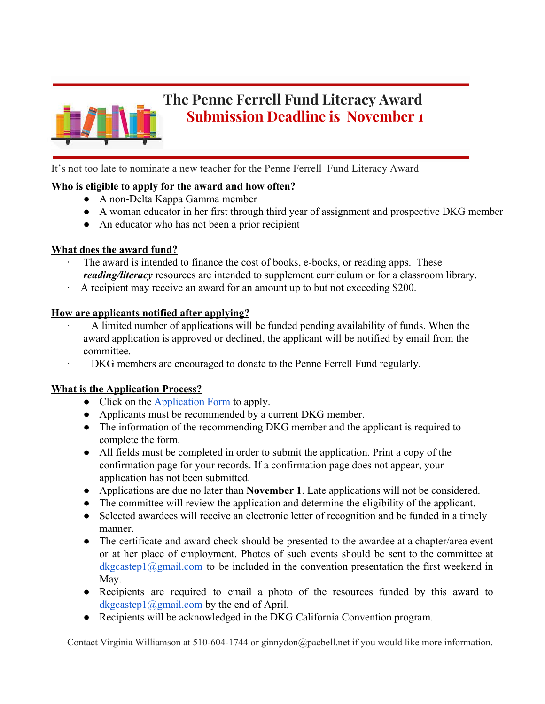

## **The Penne Ferrell Fund Literacy Award Submission Deadline is November 1**

It's not too late to nominate a new teacher for the Penne Ferrell Fund Literacy Award

#### **Who is eligible to apply for the award and how often?**

- A non-Delta Kappa Gamma member
- A woman educator in her first through third year of assignment and prospective DKG member
- An educator who has not been a prior recipient

#### **What does the award fund?**

- The award is intended to finance the cost of books, e-books, or reading apps. These *reading/literacy* resources are intended to supplement curriculum or for a classroom library.
- · A recipient may receive an award for an amount up to but not exceeding \$200.

#### **How are applicants notified after applying?**

- · A limited number of applications will be funded pending availability of funds. When the award application is approved or declined, the applicant will be notified by email from the committee.
- · DKG members are encouraged to donate to the Penne Ferrell Fund regularly.

#### **What is the Application Process?**

- Click on the [Application Form](https://docs.google.com/forms/d/e/1FAIpQLScIPuIOSKdltRmcxUwz1_lyk0JDans0vzoadYhCxOF2YXUTfg/viewform) to apply.
- Applicants must be recommended by a current DKG member.
- The information of the recommending DKG member and the applicant is required to complete the form.
- All fields must be completed in order to submit the application. Print a copy of the confirmation page for your records. If a confirmation page does not appear, your application has not been submitted.
- Applications are due no later than **November 1**. Late applications will not be considered.
- The committee will review the application and determine the eligibility of the applicant.
- Selected awardees will receive an electronic letter of recognition and be funded in a timely manner.
- The certificate and award check should be presented to the awardee at a chapter/area event or at her place of employment. Photos of such events should be sent to the committee at  $dkgcastep1@gmail.com$  to be included in the convention presentation the first weekend in May.
- Recipients are required to email a photo of the resources funded by this award to [dkgcastep1@gmail.com](mailto:dkgcastep1@gmail.com) by the end of April.
- Recipients will be acknowledged in the DKG California Convention program.

Contact Virginia Williamson at 510-604-1744 or ginnydon@pacbell.net if you would like more information.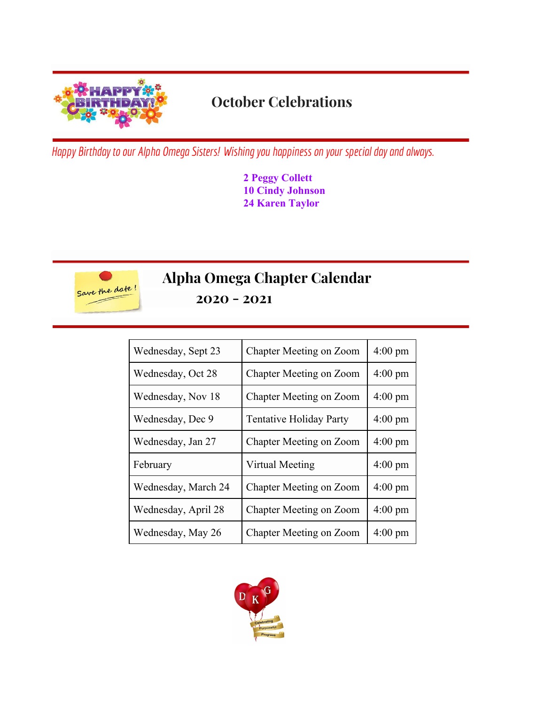

# **October Celebrations**

*Happy* Birthday to our *Alpha Omega Sisters!* Wishing you happiness on your special day and always.

**2 Peggy Collett 10 Cindy Johnson 24 Karen Taylor**



# **Alpha Omega Chapter Calendar**

**2020 - 2021**

| Wednesday, Sept 23  | Chapter Meeting on Zoom        | $4:00 \text{ pm}$ |
|---------------------|--------------------------------|-------------------|
| Wednesday, Oct 28   | Chapter Meeting on Zoom        | $4:00 \text{ pm}$ |
| Wednesday, Nov 18   | Chapter Meeting on Zoom        | $4:00 \text{ pm}$ |
| Wednesday, Dec 9    | <b>Tentative Holiday Party</b> | $4:00 \text{ pm}$ |
| Wednesday, Jan 27   | Chapter Meeting on Zoom        | $4:00 \text{ pm}$ |
| February            | Virtual Meeting                | $4:00 \text{ pm}$ |
| Wednesday, March 24 | Chapter Meeting on Zoom        | $4:00 \text{ pm}$ |
| Wednesday, April 28 | Chapter Meeting on Zoom        | $4:00 \text{ pm}$ |
| Wednesday, May 26   | Chapter Meeting on Zoom        | $4:00 \text{ pm}$ |